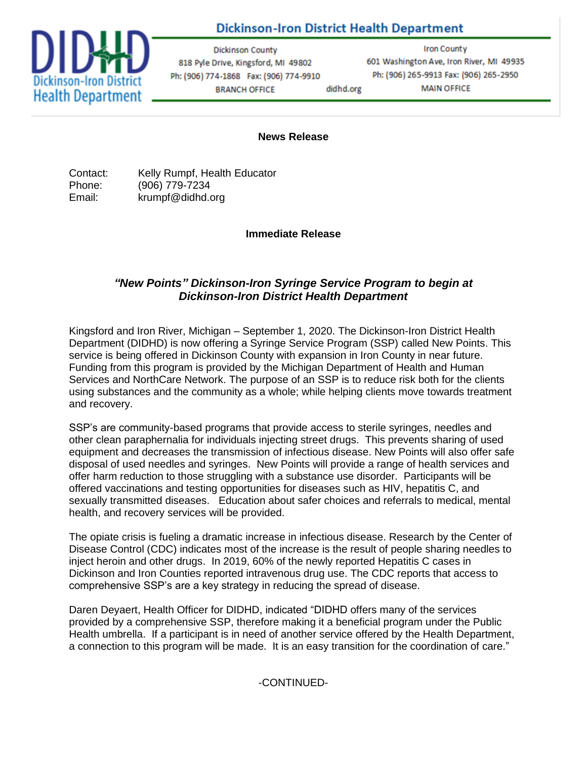## **Dickinson-Iron District Health Department**



**Dickinson County** 818 Pyle Drive, Kingsford, MI 49802 Ph: (906) 774-1868 Fax: (906) 774-9910 **BRANCH OFFICE** didhd.org

**Iron County** 601 Washington Ave, Iron River, MI 49935 Ph: (906) 265-9913 Fax: (906) 265-2950 **MAIN OFFICE** 

## **News Release**

Contact: Kelly Rumpf, Health Educator Phone: (906) 779-7234 Email: krumpf@didhd.org

**Immediate Release**

## *"New Points" Dickinson-Iron Syringe Service Program to begin at Dickinson-Iron District Health Department*

Kingsford and Iron River, Michigan – September 1, 2020. The Dickinson-Iron District Health Department (DIDHD) is now offering a Syringe Service Program (SSP) called New Points. This service is being offered in Dickinson County with expansion in Iron County in near future. Funding from this program is provided by the Michigan Department of Health and Human Services and NorthCare Network. The purpose of an SSP is to reduce risk both for the clients using substances and the community as a whole; while helping clients move towards treatment and recovery.

SSP's are community-based programs that provide access to sterile syringes, needles and other clean paraphernalia for individuals injecting street drugs. This prevents sharing of used equipment and decreases the transmission of infectious disease. New Points will also offer safe disposal of used needles and syringes. New Points will provide a range of health services and offer harm reduction to those struggling with a substance use disorder. Participants will be offered vaccinations and testing opportunities for diseases such as HIV, hepatitis C, and sexually transmitted diseases. Education about safer choices and referrals to medical, mental health, and recovery services will be provided.

The opiate crisis is fueling a dramatic increase in infectious disease. Research by the Center of Disease Control (CDC) indicates most of the increase is the result of people sharing needles to inject heroin and other drugs. In 2019, 60% of the newly reported Hepatitis C cases in Dickinson and Iron Counties reported intravenous drug use. The CDC reports that access to comprehensive SSP's are a key strategy in reducing the spread of disease.

Daren Deyaert, Health Officer for DIDHD, indicated "DIDHD offers many of the services provided by a comprehensive SSP, therefore making it a beneficial program under the Public Health umbrella. If a participant is in need of another service offered by the Health Department, a connection to this program will be made. It is an easy transition for the coordination of care."

-CONTINUED-